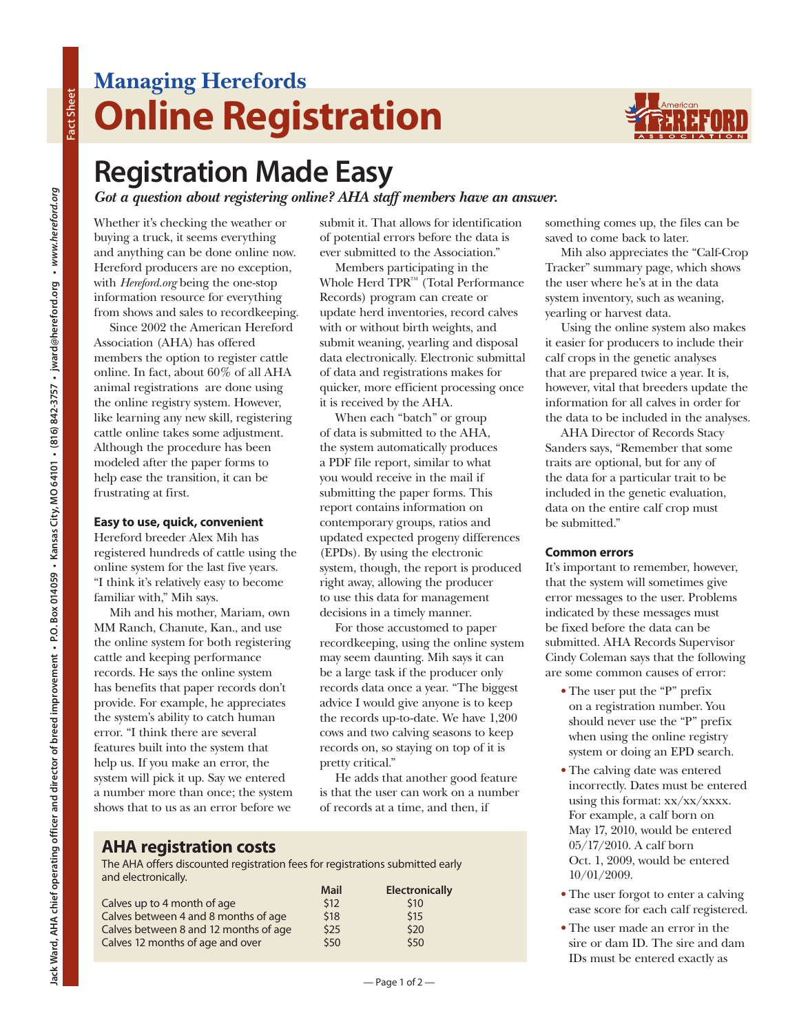## **Managing Herefords Online Registration**



## **Registration Made Easy**

*Got a question about registering online? AHA staff members have an answer.* 

Whether it's checking the weather or buying a truck, it seems everything and anything can be done online now. Hereford producers are no exception, with *Hereford.org* being the one-stop information resource for everything from shows and sales to recordkeeping.

Since 2002 the American Hereford Association (AHA) has offered members the option to register cattle online. In fact, about 60% of all AHA animal registrations are done using the online registry system. However, like learning any new skill, registering cattle online takes some adjustment. Although the procedure has been modeled after the paper forms to help ease the transition, it can be frustrating at first.

### **Easy to use, quick, convenient**

Hereford breeder Alex Mih has registered hundreds of cattle using the online system for the last five years. "I think it's relatively easy to become familiar with," Mih says.

Mih and his mother, Mariam, own MM Ranch, Chanute, Kan., and use the online system for both registering cattle and keeping performance records. He says the online system has benefits that paper records don't provide. For example, he appreciates the system's ability to catch human error. "I think there are several features built into the system that help us. If you make an error, the system will pick it up. Say we entered a number more than once; the system shows that to us as an error before we

submit it. That allows for identification of potential errors before the data is ever submitted to the Association."

Members participating in the Whole Herd TPR™ (Total Performance Records) program can create or update herd inventories, record calves with or without birth weights, and submit weaning, yearling and disposal data electronically. Electronic submittal of data and registrations makes for quicker, more efficient processing once it is received by the AHA.

When each "batch" or group of data is submitted to the AHA, the system automatically produces a PDF file report, similar to what you would receive in the mail if submitting the paper forms. This report contains information on contemporary groups, ratios and updated expected progeny differences (EPDs). By using the electronic system, though, the report is produced right away, allowing the producer to use this data for management decisions in a timely manner.

For those accustomed to paper recordkeeping, using the online system may seem daunting. Mih says it can be a large task if the producer only records data once a year. "The biggest advice I would give anyone is to keep the records up-to-date. We have 1,200 cows and two calving seasons to keep records on, so staying on top of it is pretty critical."

He adds that another good feature is that the user can work on a number of records at a time, and then, if

## **AHA registration costs**

The AHA offers discounted registration fees for registrations submitted early and electronically.

|                                       | <b>Mail</b> | <b>Electronically</b> |
|---------------------------------------|-------------|-----------------------|
| Calves up to 4 month of age           | \$12        | \$10                  |
| Calves between 4 and 8 months of age  | \$18        | \$15                  |
| Calves between 8 and 12 months of age | \$25        | \$20                  |
| Calves 12 months of age and over      | \$50        | \$50                  |

something comes up, the files can be saved to come back to later.

Mih also appreciates the "Calf-Crop Tracker" summary page, which shows the user where he's at in the data system inventory, such as weaning, yearling or harvest data.

Using the online system also makes it easier for producers to include their calf crops in the genetic analyses that are prepared twice a year. It is, however, vital that breeders update the information for all calves in order for the data to be included in the analyses.

AHA Director of Records Stacy Sanders says, "Remember that some traits are optional, but for any of the data for a particular trait to be included in the genetic evaluation, data on the entire calf crop must be submitted."

## **Common errors**

It's important to remember, however, that the system will sometimes give error messages to the user. Problems indicated by these messages must be fixed before the data can be submitted. AHA Records Supervisor Cindy Coleman says that the following are some common causes of error:

- **•** The user put the "P" prefix on a registration number. You should never use the "P" prefix when using the online registry system or doing an EPD search.
- **•** The calving date was entered incorrectly. Dates must be entered using this format: xx/xx/xxxx. For example, a calf born on May 17, 2010, would be entered 05/17/2010. A calf born Oct. 1, 2009, would be entered 10/01/2009.
- **•** The user forgot to enter a calving ease score for each calf registered.
- **•** The user made an error in the sire or dam ID. The sire and dam IDs must be entered exactly as

**Fact Sheet**

Fact Sheet